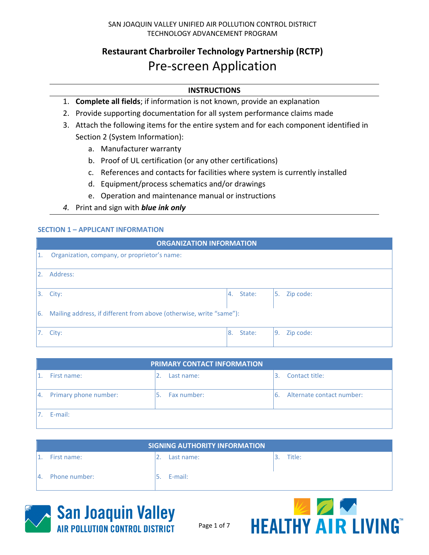# **Restaurant Charbroiler Technology Partnership (RCTP)** Pre-screen Application

## **INSTRUCTIONS**

- 1. **Complete all fields**; if information is not known, provide an explanation
- 2. Provide supporting documentation for all system performance claims made
- 3. Attach the following items for the entire system and for each component identified in Section 2 (System Information):
	- a. Manufacturer warranty
	- b. Proof of UL certification (or any other certifications)
	- c. References and contacts for facilities where system is currently installed
	- d. Equipment/process schematics and/or drawings
	- e. Operation and maintenance manual or instructions
- *4.* Print and sign with *blue ink only*

## **SECTION 1 – APPLICANT INFORMATION**

|     | <b>ORGANIZATION INFORMATION</b>                                     |     |        |     |           |
|-----|---------------------------------------------------------------------|-----|--------|-----|-----------|
|     | Organization, company, or proprietor's name:                        |     |        |     |           |
| I2. | Address:                                                            |     |        |     |           |
| I3. | City:                                                               | l4. | State: | 5.  | Zip code: |
| 16. | Mailing address, if different from above (otherwise, write "same"): |     |        |     |           |
|     | City:                                                               | 8.  | State: | l9. | Zip code: |

| <b>PRIMARY CONTACT INFORMATION</b> |      |             |    |                           |  |
|------------------------------------|------|-------------|----|---------------------------|--|
| First name:                        |      | Last name:  |    | Contact title:            |  |
| 4. Primary phone number:           | 5. . | Fax number: | 6. | Alternate contact number: |  |
| E-mail:                            |      |             |    |                           |  |

|    | SIGNING AUTHORITY INFORMATION |  |            |  |        |  |
|----|-------------------------------|--|------------|--|--------|--|
|    | First name:                   |  | Last name: |  | Title: |  |
| 4. | Phone number:                 |  | E-mail:    |  |        |  |



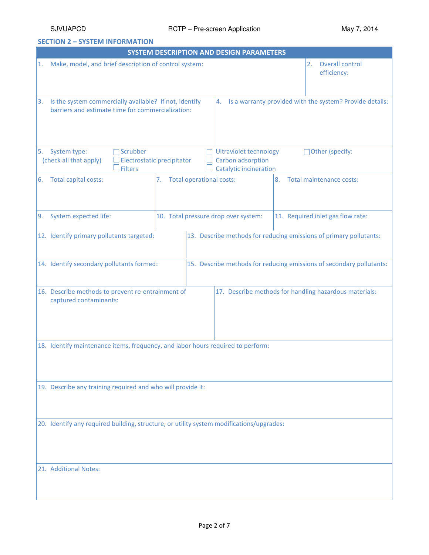**SECTION 2 – SYSTEM INFORMATION** 

|    |                                                                                                                                                                                                                |                                      | <b>SYSTEM DESCRIPTION AND DESIGN PARAMETERS</b> |    |                                                                    |  |
|----|----------------------------------------------------------------------------------------------------------------------------------------------------------------------------------------------------------------|--------------------------------------|-------------------------------------------------|----|--------------------------------------------------------------------|--|
| 1. | Make, model, and brief description of control system:                                                                                                                                                          |                                      |                                                 |    | Overall control<br>2.<br>efficiency:                               |  |
| 3. | Is the system commercially available? If not, identify<br>4.<br>barriers and estimate time for commercialization:                                                                                              |                                      |                                                 |    | Is a warranty provided with the system? Provide details:           |  |
| 5. | Scrubber<br>System type:<br><b>Ultraviolet technology</b><br>Carbon adsorption<br>(check all that apply)<br>Electrostatic precipitator<br>$\Box$<br>$\mathsf{\mathsf{\bot}}$ Filters<br>Catalytic incineration |                                      |                                                 |    | Other (specify:                                                    |  |
| 6. | Total capital costs:                                                                                                                                                                                           | 7. Total operational costs:          |                                                 | 8. | Total maintenance costs:                                           |  |
| 9. | System expected life:                                                                                                                                                                                          | 10. Total pressure drop over system: |                                                 |    | 11. Required inlet gas flow rate:                                  |  |
|    | 12. Identify primary pollutants targeted:                                                                                                                                                                      |                                      |                                                 |    | 13. Describe methods for reducing emissions of primary pollutants: |  |
|    | 14. Identify secondary pollutants formed:<br>15. Describe methods for reducing emissions of secondary pollutants:                                                                                              |                                      |                                                 |    |                                                                    |  |
|    | 16. Describe methods to prevent re-entrainment of<br>17. Describe methods for handling hazardous materials:<br>captured contaminants:                                                                          |                                      |                                                 |    |                                                                    |  |
|    | 18. Identify maintenance items, frequency, and labor hours required to perform:                                                                                                                                |                                      |                                                 |    |                                                                    |  |
|    | 19. Describe any training required and who will provide it:                                                                                                                                                    |                                      |                                                 |    |                                                                    |  |
|    | 20. Identify any required building, structure, or utility system modifications/upgrades:                                                                                                                       |                                      |                                                 |    |                                                                    |  |
|    | 21. Additional Notes:                                                                                                                                                                                          |                                      |                                                 |    |                                                                    |  |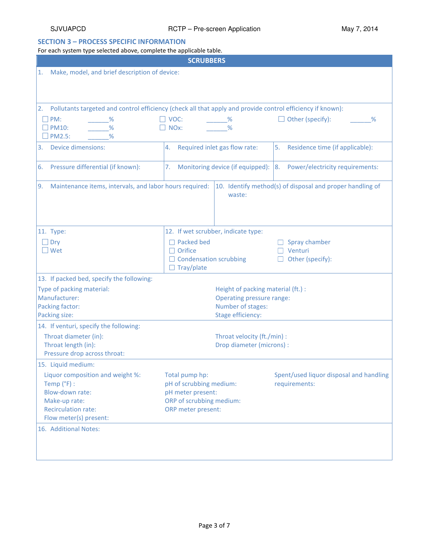## **SECTION 3 – PROCESS SPECIFIC INFORMATION**

For each system type selected above, complete the applicable table.

| <b>SCRUBBERS</b>                                                                                                                     |                                                                      |                                         |  |  |  |
|--------------------------------------------------------------------------------------------------------------------------------------|----------------------------------------------------------------------|-----------------------------------------|--|--|--|
| Make, model, and brief description of device:<br>1.                                                                                  |                                                                      |                                         |  |  |  |
| Pollutants targeted and control efficiency (check all that apply and provide control efficiency if known):<br>2.                     |                                                                      |                                         |  |  |  |
| PM:<br>%<br>$\%$<br>$\Box$ PM10:<br>$\Box$ PM2.5:<br>$\frac{9}{6}$                                                                   | $\Box$ VOC:<br>$\%$<br>NO <sub>x</sub> :<br>$\frac{9}{6}$            | Other (specify):<br>%                   |  |  |  |
| <b>Device dimensions:</b><br>3.                                                                                                      | Required inlet gas flow rate:<br>4.                                  | 5.<br>Residence time (if applicable):   |  |  |  |
| Pressure differential (if known):<br>6.                                                                                              | Monitoring device (if equipped): 8.<br>7.                            | Power/electricity requirements:         |  |  |  |
| 9.<br>Maintenance items, intervals, and labor hours required:<br>10. Identify method(s) of disposal and proper handling of<br>waste: |                                                                      |                                         |  |  |  |
| 11. Type:                                                                                                                            | 12. If wet scrubber, indicate type:                                  |                                         |  |  |  |
| $\Box$ Dry                                                                                                                           | $\Box$ Packed bed                                                    | Spray chamber                           |  |  |  |
| $\square$ Wet                                                                                                                        | $\Box$ Orifice<br>$\Box$ Condensation scrubbing<br>$\Box$ Tray/plate | Venturi<br>Other (specify):             |  |  |  |
| 13. If packed bed, specify the following:                                                                                            |                                                                      |                                         |  |  |  |
| Type of packing material:                                                                                                            | Height of packing material (ft.) :                                   |                                         |  |  |  |
| Manufacturer:                                                                                                                        | <b>Operating pressure range:</b>                                     |                                         |  |  |  |
| Packing factor:<br>Packing size:                                                                                                     | Number of stages:<br><b>Stage efficiency:</b>                        |                                         |  |  |  |
| 14. If venturi, specify the following:                                                                                               |                                                                      |                                         |  |  |  |
| Throat diameter (in):                                                                                                                | Throat velocity (ft./min) :                                          |                                         |  |  |  |
| Throat length (in):                                                                                                                  |                                                                      | Drop diameter (microns) :               |  |  |  |
| Pressure drop across throat:                                                                                                         |                                                                      |                                         |  |  |  |
| 15. Liquid medium:                                                                                                                   |                                                                      |                                         |  |  |  |
| Liquor composition and weight %:                                                                                                     | Total pump hp:                                                       | Spent/used liquor disposal and handling |  |  |  |
| Temp $(^{\circ}F)$ :                                                                                                                 | pH of scrubbing medium:                                              | requirements:                           |  |  |  |
| Blow-down rate:                                                                                                                      | pH meter present:                                                    |                                         |  |  |  |
| Make-up rate:<br><b>Recirculation rate:</b>                                                                                          | ORP of scrubbing medium:<br>ORP meter present:                       |                                         |  |  |  |
| Flow meter(s) present:                                                                                                               |                                                                      |                                         |  |  |  |
| 16. Additional Notes:                                                                                                                |                                                                      |                                         |  |  |  |
|                                                                                                                                      |                                                                      |                                         |  |  |  |
|                                                                                                                                      |                                                                      |                                         |  |  |  |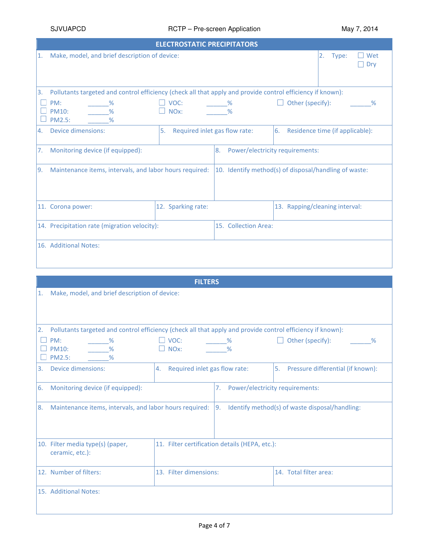|                  | <b>ELECTROSTATIC PRECIPITATORS</b>                                                                         |                                     |                                                       |                                 |                                 |            |  |  |
|------------------|------------------------------------------------------------------------------------------------------------|-------------------------------------|-------------------------------------------------------|---------------------------------|---------------------------------|------------|--|--|
| 1.               | Make, model, and brief description of device:                                                              |                                     |                                                       |                                 | 2.<br>Type:                     | Wet<br>Dry |  |  |
| 3.               | Pollutants targeted and control efficiency (check all that apply and provide control efficiency if known): |                                     |                                                       |                                 |                                 |            |  |  |
|                  | PM:<br>$\%$<br>$\frac{9}{6}$<br><b>PM10:</b><br><b>PM2.5:</b><br>$\frac{9}{6}$                             | $\Box$ VOC:<br>$\Box$ NOx:          | $\frac{9}{2}$<br>$\frac{9}{6}$                        | Other (specify):                |                                 | %          |  |  |
| $\overline{4}$ . | Device dimensions:                                                                                         | 5.<br>Required inlet gas flow rate: |                                                       | 6.                              | Residence time (if applicable): |            |  |  |
| 7.               | Monitoring device (if equipped):                                                                           |                                     | 8.                                                    | Power/electricity requirements: |                                 |            |  |  |
| Ι9.              | Maintenance items, intervals, and labor hours required:                                                    |                                     | 10. Identify method(s) of disposal/handling of waste: |                                 |                                 |            |  |  |
|                  | 11. Corona power:                                                                                          | 12. Sparking rate:                  |                                                       | 13. Rapping/cleaning interval:  |                                 |            |  |  |
|                  | 14. Precipitation rate (migration velocity):                                                               |                                     | 15. Collection Area:                                  |                                 |                                 |            |  |  |
|                  | 16. Additional Notes:                                                                                      |                                     |                                                       |                                 |                                 |            |  |  |

|    | <b>FILTERS</b>                                                                                             |                                                   |                       |                                                |  |  |
|----|------------------------------------------------------------------------------------------------------------|---------------------------------------------------|-----------------------|------------------------------------------------|--|--|
| 1. | Make, model, and brief description of device:                                                              |                                                   |                       |                                                |  |  |
| 2. | Pollutants targeted and control efficiency (check all that apply and provide control efficiency if known): |                                                   |                       |                                                |  |  |
|    | PM:<br>$\%$<br><b>PM10:</b><br>$\frac{9}{6}$<br><b>PM2.5:</b><br>$\frac{9}{6}$                             | $\square$ voc:<br>$\Box$ NOx:                     | $\%$<br>$\frac{9}{6}$ | Other (specify):<br>$\%$                       |  |  |
| 3. | Device dimensions:                                                                                         | Required inlet gas flow rate:<br>$\overline{4}$ . |                       | 5. Pressure differential (if known):           |  |  |
| 6. | Monitoring device (if equipped):                                                                           |                                                   | 7.                    | Power/electricity requirements:                |  |  |
| 8. | Maintenance items, intervals, and labor hours required:                                                    |                                                   | 19.                   | Identify method(s) of waste disposal/handling: |  |  |
|    | 10. Filter media type(s) (paper,<br>ceramic, etc.):                                                        | 11. Filter certification details (HEPA, etc.):    |                       |                                                |  |  |
|    | 12. Number of filters:                                                                                     | 13. Filter dimensions:                            |                       | 14. Total filter area:                         |  |  |
|    | 15. Additional Notes:                                                                                      |                                                   |                       |                                                |  |  |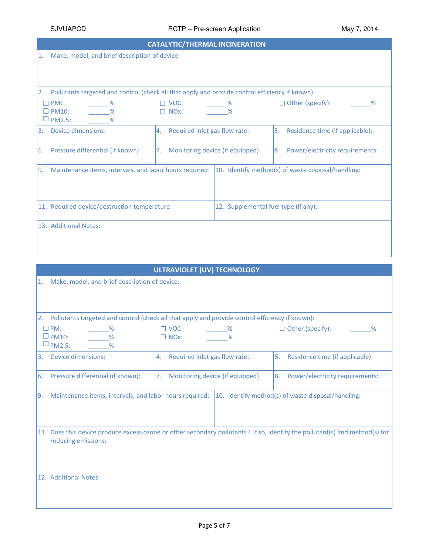| <b>CATALYTIC/THERMAL INCINERATION</b>    |                                                                                                 |                                     |                                  |                                                    |  |
|------------------------------------------|-------------------------------------------------------------------------------------------------|-------------------------------------|----------------------------------|----------------------------------------------------|--|
| 11.                                      | Make, model, and brief description of device:                                                   |                                     |                                  |                                                    |  |
|                                          |                                                                                                 |                                     |                                  |                                                    |  |
|                                          |                                                                                                 |                                     |                                  |                                                    |  |
| 12.                                      | Pollutants targeted and control (check all that apply and provide control efficiency if known): |                                     |                                  |                                                    |  |
| PM:                                      | $\frac{9}{2}$                                                                                   | $\Box$ VOC:                         | $\sim$ $\frac{\%}{\%}$           | $\Box$ Other (specify):<br>$\frac{9}{6}$           |  |
| <b>PM10:</b>                             | $\sim$ %                                                                                        | $\Box$ NOx:                         | $\frac{9}{6}$                    |                                                    |  |
| <b>PM2.5:</b>                            |                                                                                                 |                                     |                                  |                                                    |  |
| Device dimensions:<br>l3.                |                                                                                                 | Required inlet gas flow rate:<br>4. |                                  | l5.<br>Residence time (if applicable):             |  |
| Pressure differential (if known):<br>16. |                                                                                                 | 7.                                  | Monitoring device (if equipped): | Power/electricity requirements:<br>I8.             |  |
| 19.                                      | Maintenance items, intervals, and labor hours required:                                         |                                     |                                  | 10. Identify method(s) of waste disposal/handling: |  |
|                                          |                                                                                                 |                                     |                                  |                                                    |  |
|                                          |                                                                                                 |                                     |                                  |                                                    |  |
|                                          | 11. Required device/destruction temperature:<br>12. Supplemental fuel type (if any):            |                                     |                                  |                                                    |  |
|                                          |                                                                                                 |                                     |                                  |                                                    |  |
| 13. Additional Notes:                    |                                                                                                 |                                     |                                  |                                                    |  |
|                                          |                                                                                                 |                                     |                                  |                                                    |  |
|                                          |                                                                                                 |                                     |                                  |                                                    |  |

<u> 1989 - Andrea Stadt Britain, amerikansk politik (\* 1958)</u>

| <b>ULTRAVIOLET (UV) TECHNOLOGY</b>                            |                                                                                                 |                                                                                                                             |  |  |  |  |
|---------------------------------------------------------------|-------------------------------------------------------------------------------------------------|-----------------------------------------------------------------------------------------------------------------------------|--|--|--|--|
| Make, model, and brief description of device:<br>1.           |                                                                                                 |                                                                                                                             |  |  |  |  |
| 2.                                                            | Pollutants targeted and control (check all that apply and provide control efficiency if known): |                                                                                                                             |  |  |  |  |
| $\square$ PM:<br>$\square$ PM10:<br>$\sqcup$ PM2.5:           | $\Box$ VOC:<br>$\%$<br>$\Box$ NOx:                                                              | $\Box$ Other (specify):<br>%                                                                                                |  |  |  |  |
| <b>Device dimensions:</b><br>3.                               | Required inlet gas flow rate:<br>4.                                                             | 5.<br>Residence time (if applicable):                                                                                       |  |  |  |  |
| 6.<br>Pressure differential (if known):                       | Monitoring device (if equipped):<br>7.                                                          | Power/electricity requirements:<br>8.                                                                                       |  |  |  |  |
| Maintenance items, intervals, and labor hours required:<br>9. |                                                                                                 | 10. Identify method(s) of waste disposal/handling:                                                                          |  |  |  |  |
| reducing emissions:                                           |                                                                                                 | 11. Does this device produce excess ozone or other secondary pollutants? If so, identify the pollutant(s) and method(s) for |  |  |  |  |
| 12. Additional Notes:                                         |                                                                                                 |                                                                                                                             |  |  |  |  |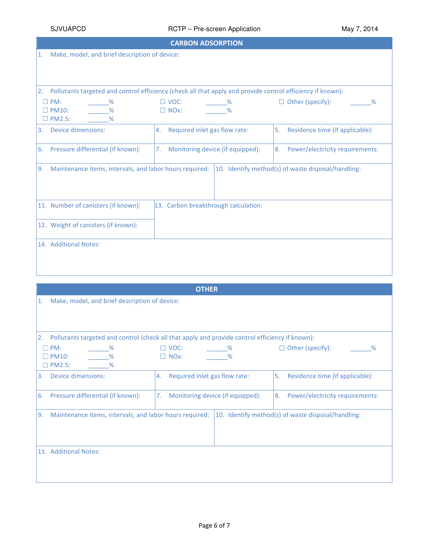## SJVUAPCD RCTP – Pre-screen Application May 7, 2014

| <b>CARBON ADSORPTION</b>                                         |                                                                                                            |                                                    |  |  |  |  |
|------------------------------------------------------------------|------------------------------------------------------------------------------------------------------------|----------------------------------------------------|--|--|--|--|
| Make, model, and brief description of device:<br>1.              |                                                                                                            |                                                    |  |  |  |  |
| 2.                                                               | Pollutants targeted and control efficiency (check all that apply and provide control efficiency if known): |                                                    |  |  |  |  |
| $\square$ PM:<br>℅<br>$\Box$ PM10:<br>%<br>$\square$ PM2.5:<br>% | $\Box$ VOC:<br>$\%$<br>$\Box$ NOx:<br>%                                                                    | $\Box$ Other (specify):<br>%                       |  |  |  |  |
| <b>Device dimensions:</b><br>3.                                  | Required inlet gas flow rate:<br>4.                                                                        | 5.<br>Residence time (if applicable):              |  |  |  |  |
| Pressure differential (if known):<br>6.                          | Monitoring device (if equipped):<br>7.                                                                     | Power/electricity requirements:<br>8.              |  |  |  |  |
| Maintenance items, intervals, and labor hours required:<br>9.    |                                                                                                            | 10. Identify method(s) of waste disposal/handling: |  |  |  |  |
| 11. Number of canisters (if known):                              | 13. Carbon breakthrough calculation:                                                                       |                                                    |  |  |  |  |
| 12. Weight of canisters (if known):                              |                                                                                                            |                                                    |  |  |  |  |
| 14. Additional Notes:                                            |                                                                                                            |                                                    |  |  |  |  |

|                                                               | <b>OTHER</b>                                                                                    |                                                    |  |  |  |  |  |  |
|---------------------------------------------------------------|-------------------------------------------------------------------------------------------------|----------------------------------------------------|--|--|--|--|--|--|
| 1.                                                            | Make, model, and brief description of device:                                                   |                                                    |  |  |  |  |  |  |
|                                                               |                                                                                                 |                                                    |  |  |  |  |  |  |
|                                                               |                                                                                                 |                                                    |  |  |  |  |  |  |
| 2.                                                            | Pollutants targeted and control (check all that apply and provide control efficiency if known): |                                                    |  |  |  |  |  |  |
|                                                               |                                                                                                 |                                                    |  |  |  |  |  |  |
| PM:<br>$\%$<br>%<br>$\Box$ PM10:                              | $\Box$ VOC:<br>$\%$<br>$\Box$ NOx:<br>$\frac{9}{6}$                                             | $\Box$ Other (specify):<br>%                       |  |  |  |  |  |  |
| $\Box$ PM2.5:<br>%                                            |                                                                                                 |                                                    |  |  |  |  |  |  |
|                                                               |                                                                                                 |                                                    |  |  |  |  |  |  |
| Device dimensions:<br>3.                                      | Required inlet gas flow rate:<br>4.                                                             | Residence time (if applicable):<br>l5.             |  |  |  |  |  |  |
|                                                               |                                                                                                 |                                                    |  |  |  |  |  |  |
| Pressure differential (if known):<br><sup>6.</sup>            | Monitoring device (if equipped):<br>7.                                                          | Power/electricity requirements:<br>I8. I           |  |  |  |  |  |  |
|                                                               |                                                                                                 |                                                    |  |  |  |  |  |  |
| Maintenance items, intervals, and labor hours required:<br>9. |                                                                                                 | 10. Identify method(s) of waste disposal/handling: |  |  |  |  |  |  |
|                                                               |                                                                                                 |                                                    |  |  |  |  |  |  |
|                                                               |                                                                                                 |                                                    |  |  |  |  |  |  |
|                                                               |                                                                                                 |                                                    |  |  |  |  |  |  |
| 11. Additional Notes:                                         |                                                                                                 |                                                    |  |  |  |  |  |  |
|                                                               |                                                                                                 |                                                    |  |  |  |  |  |  |
|                                                               |                                                                                                 |                                                    |  |  |  |  |  |  |
|                                                               |                                                                                                 |                                                    |  |  |  |  |  |  |